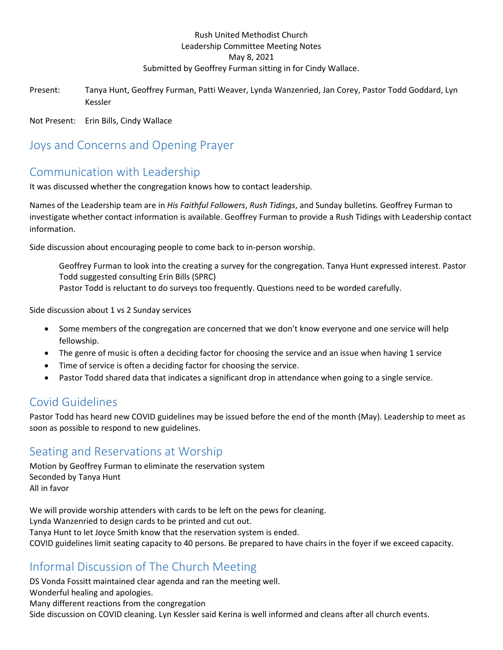#### Rush United Methodist Church Leadership Committee Meeting Notes May 8, 2021 Submitted by Geoffrey Furman sitting in for Cindy Wallace.

Present: Tanya Hunt, Geoffrey Furman, Patti Weaver, Lynda Wanzenried, Jan Corey, Pastor Todd Goddard, Lyn Kessler

Not Present: Erin Bills, Cindy Wallace

### Joys and Concerns and Opening Prayer

#### Communication with Leadership

It was discussed whether the congregation knows how to contact leadership.

Names of the Leadership team are in *His Faithful Followers*, *Rush Tidings*, and Sunday bulletins. Geoffrey Furman to investigate whether contact information is available. Geoffrey Furman to provide a Rush Tidings with Leadership contact information.

Side discussion about encouraging people to come back to in-person worship.

Geoffrey Furman to look into the creating a survey for the congregation. Tanya Hunt expressed interest. Pastor Todd suggested consulting Erin Bills (SPRC) Pastor Todd is reluctant to do surveys too frequently. Questions need to be worded carefully.

Side discussion about 1 vs 2 Sunday services

- Some members of the congregation are concerned that we don't know everyone and one service will help fellowship.
- The genre of music is often a deciding factor for choosing the service and an issue when having 1 service
- Time of service is often a deciding factor for choosing the service.
- Pastor Todd shared data that indicates a significant drop in attendance when going to a single service.

#### Covid Guidelines

Pastor Todd has heard new COVID guidelines may be issued before the end of the month (May). Leadership to meet as soon as possible to respond to new guidelines.

#### Seating and Reservations at Worship

Motion by Geoffrey Furman to eliminate the reservation system Seconded by Tanya Hunt All in favor

We will provide worship attenders with cards to be left on the pews for cleaning. Lynda Wanzenried to design cards to be printed and cut out. Tanya Hunt to let Joyce Smith know that the reservation system is ended. COVID guidelines limit seating capacity to 40 persons. Be prepared to have chairs in the foyer if we exceed capacity.

# Informal Discussion of The Church Meeting

DS Vonda Fossitt maintained clear agenda and ran the meeting well. Wonderful healing and apologies. Many different reactions from the congregation Side discussion on COVID cleaning. Lyn Kessler said Kerina is well informed and cleans after all church events.